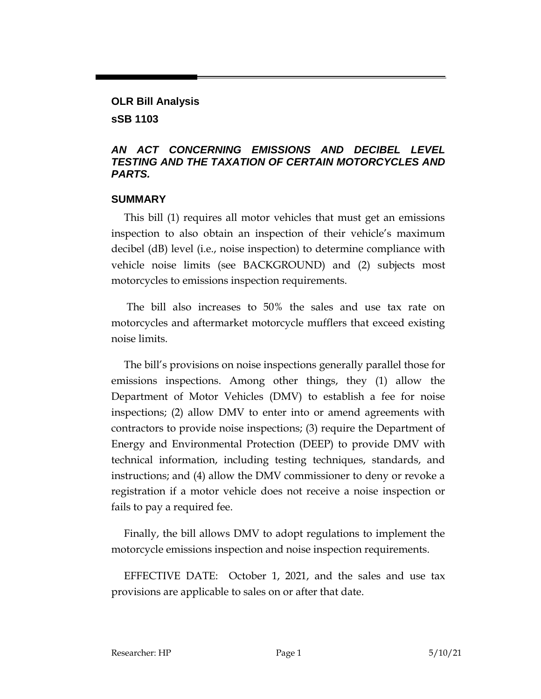### **OLR Bill Analysis sSB 1103**

#### *AN ACT CONCERNING EMISSIONS AND DECIBEL LEVEL TESTING AND THE TAXATION OF CERTAIN MOTORCYCLES AND PARTS.*

#### **SUMMARY**

This bill (1) requires all motor vehicles that must get an emissions inspection to also obtain an inspection of their vehicle's maximum decibel (dB) level (i.e., noise inspection) to determine compliance with vehicle noise limits (see BACKGROUND) and (2) subjects most motorcycles to emissions inspection requirements.

The bill also increases to 50% the sales and use tax rate on motorcycles and aftermarket motorcycle mufflers that exceed existing noise limits.

The bill's provisions on noise inspections generally parallel those for emissions inspections. Among other things, they (1) allow the Department of Motor Vehicles (DMV) to establish a fee for noise inspections; (2) allow DMV to enter into or amend agreements with contractors to provide noise inspections; (3) require the Department of Energy and Environmental Protection (DEEP) to provide DMV with technical information, including testing techniques, standards, and instructions; and (4) allow the DMV commissioner to deny or revoke a registration if a motor vehicle does not receive a noise inspection or fails to pay a required fee.

Finally, the bill allows DMV to adopt regulations to implement the motorcycle emissions inspection and noise inspection requirements.

EFFECTIVE DATE: October 1, 2021, and the sales and use tax provisions are applicable to sales on or after that date.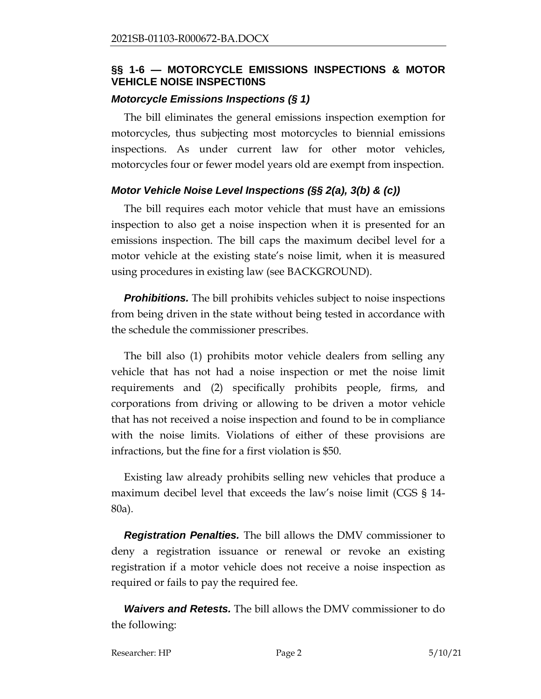#### **§§ 1-6 — MOTORCYCLE EMISSIONS INSPECTIONS & MOTOR VEHICLE NOISE INSPECTI0NS**

#### *Motorcycle Emissions Inspections (§ 1)*

The bill eliminates the general emissions inspection exemption for motorcycles, thus subjecting most motorcycles to biennial emissions inspections. As under current law for other motor vehicles, motorcycles four or fewer model years old are exempt from inspection.

#### *Motor Vehicle Noise Level Inspections (§§ 2(a), 3(b) & (c))*

The bill requires each motor vehicle that must have an emissions inspection to also get a noise inspection when it is presented for an emissions inspection. The bill caps the maximum decibel level for a motor vehicle at the existing state's noise limit, when it is measured using procedures in existing law (see BACKGROUND).

*Prohibitions.* The bill prohibits vehicles subject to noise inspections from being driven in the state without being tested in accordance with the schedule the commissioner prescribes.

The bill also (1) prohibits motor vehicle dealers from selling any vehicle that has not had a noise inspection or met the noise limit requirements and (2) specifically prohibits people, firms, and corporations from driving or allowing to be driven a motor vehicle that has not received a noise inspection and found to be in compliance with the noise limits. Violations of either of these provisions are infractions, but the fine for a first violation is \$50.

Existing law already prohibits selling new vehicles that produce a maximum decibel level that exceeds the law's noise limit (CGS § 14- 80a).

*Registration Penalties.* The bill allows the DMV commissioner to deny a registration issuance or renewal or revoke an existing registration if a motor vehicle does not receive a noise inspection as required or fails to pay the required fee.

*Waivers and Retests.* The bill allows the DMV commissioner to do the following:

Researcher: HP Page 2 5/10/21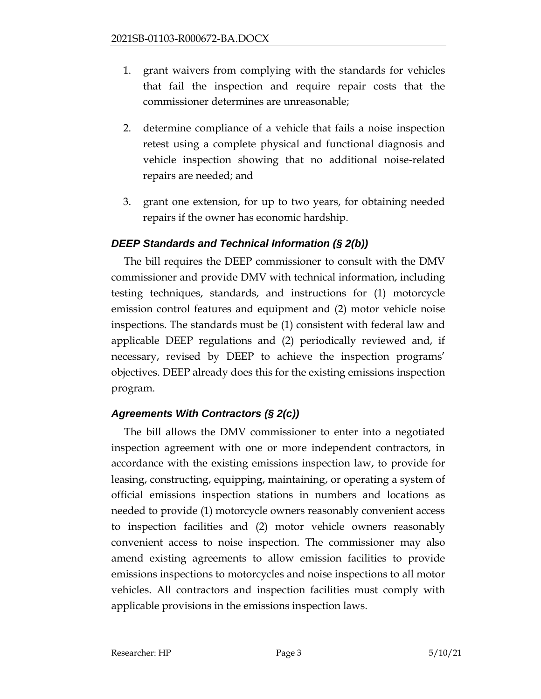- 1. grant waivers from complying with the standards for vehicles that fail the inspection and require repair costs that the commissioner determines are unreasonable;
- 2. determine compliance of a vehicle that fails a noise inspection retest using a complete physical and functional diagnosis and vehicle inspection showing that no additional noise-related repairs are needed; and
- 3. grant one extension, for up to two years, for obtaining needed repairs if the owner has economic hardship.

# *DEEP Standards and Technical Information (§ 2(b))*

The bill requires the DEEP commissioner to consult with the DMV commissioner and provide DMV with technical information, including testing techniques, standards, and instructions for (1) motorcycle emission control features and equipment and (2) motor vehicle noise inspections. The standards must be (1) consistent with federal law and applicable DEEP regulations and (2) periodically reviewed and, if necessary, revised by DEEP to achieve the inspection programs' objectives. DEEP already does this for the existing emissions inspection program.

# *Agreements With Contractors (§ 2(c))*

The bill allows the DMV commissioner to enter into a negotiated inspection agreement with one or more independent contractors, in accordance with the existing emissions inspection law, to provide for leasing, constructing, equipping, maintaining, or operating a system of official emissions inspection stations in numbers and locations as needed to provide (1) motorcycle owners reasonably convenient access to inspection facilities and (2) motor vehicle owners reasonably convenient access to noise inspection. The commissioner may also amend existing agreements to allow emission facilities to provide emissions inspections to motorcycles and noise inspections to all motor vehicles. All contractors and inspection facilities must comply with applicable provisions in the emissions inspection laws.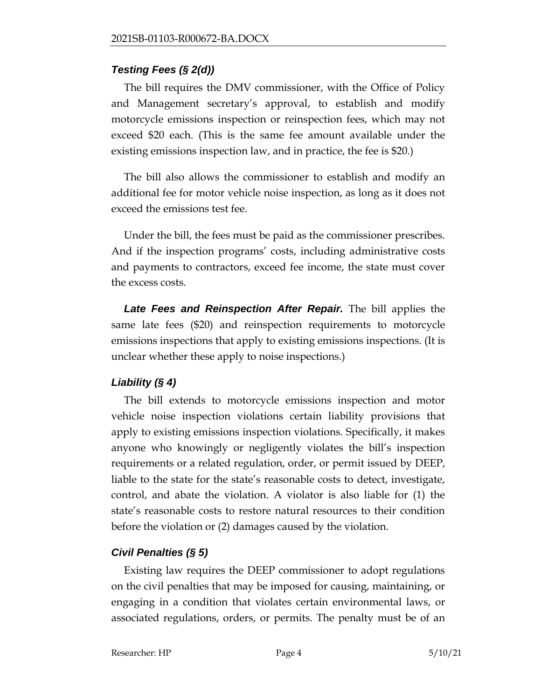### *Testing Fees (§ 2(d))*

The bill requires the DMV commissioner, with the Office of Policy and Management secretary's approval, to establish and modify motorcycle emissions inspection or reinspection fees, which may not exceed \$20 each. (This is the same fee amount available under the existing emissions inspection law, and in practice, the fee is \$20.)

The bill also allows the commissioner to establish and modify an additional fee for motor vehicle noise inspection, as long as it does not exceed the emissions test fee.

Under the bill, the fees must be paid as the commissioner prescribes. And if the inspection programs' costs, including administrative costs and payments to contractors, exceed fee income, the state must cover the excess costs.

*Late Fees and Reinspection After Repair.* The bill applies the same late fees (\$20) and reinspection requirements to motorcycle emissions inspections that apply to existing emissions inspections. (It is unclear whether these apply to noise inspections.)

# *Liability (§ 4)*

The bill extends to motorcycle emissions inspection and motor vehicle noise inspection violations certain liability provisions that apply to existing emissions inspection violations. Specifically, it makes anyone who knowingly or negligently violates the bill's inspection requirements or a related regulation, order, or permit issued by DEEP, liable to the state for the state's reasonable costs to detect, investigate, control, and abate the violation. A violator is also liable for (1) the state's reasonable costs to restore natural resources to their condition before the violation or (2) damages caused by the violation.

# *Civil Penalties (§ 5)*

Existing law requires the DEEP commissioner to adopt regulations on the civil penalties that may be imposed for causing, maintaining, or engaging in a condition that violates certain environmental laws, or associated regulations, orders, or permits. The penalty must be of an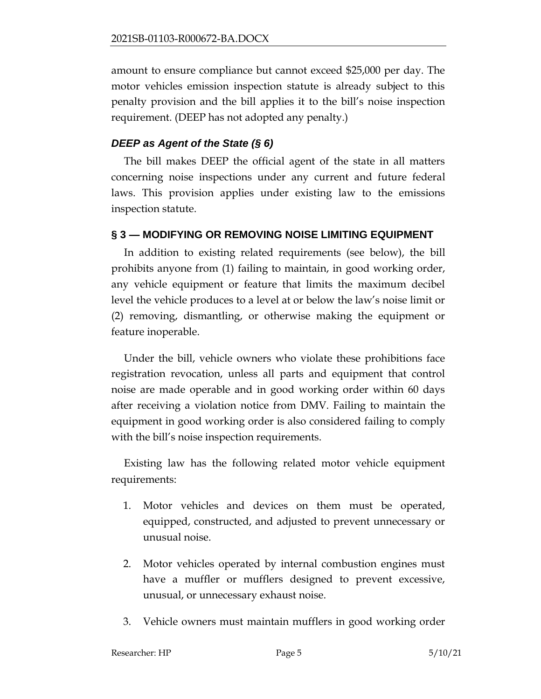amount to ensure compliance but cannot exceed \$25,000 per day. The motor vehicles emission inspection statute is already subject to this penalty provision and the bill applies it to the bill's noise inspection requirement. (DEEP has not adopted any penalty.)

## *DEEP as Agent of the State (§ 6)*

The bill makes DEEP the official agent of the state in all matters concerning noise inspections under any current and future federal laws. This provision applies under existing law to the emissions inspection statute.

### **§ 3 — MODIFYING OR REMOVING NOISE LIMITING EQUIPMENT**

In addition to existing related requirements (see below), the bill prohibits anyone from (1) failing to maintain, in good working order, any vehicle equipment or feature that limits the maximum decibel level the vehicle produces to a level at or below the law's noise limit or (2) removing, dismantling, or otherwise making the equipment or feature inoperable.

Under the bill, vehicle owners who violate these prohibitions face registration revocation, unless all parts and equipment that control noise are made operable and in good working order within 60 days after receiving a violation notice from DMV. Failing to maintain the equipment in good working order is also considered failing to comply with the bill's noise inspection requirements.

Existing law has the following related motor vehicle equipment requirements:

- 1. Motor vehicles and devices on them must be operated, equipped, constructed, and adjusted to prevent unnecessary or unusual noise.
- 2. Motor vehicles operated by internal combustion engines must have a muffler or mufflers designed to prevent excessive, unusual, or unnecessary exhaust noise.
- 3. Vehicle owners must maintain mufflers in good working order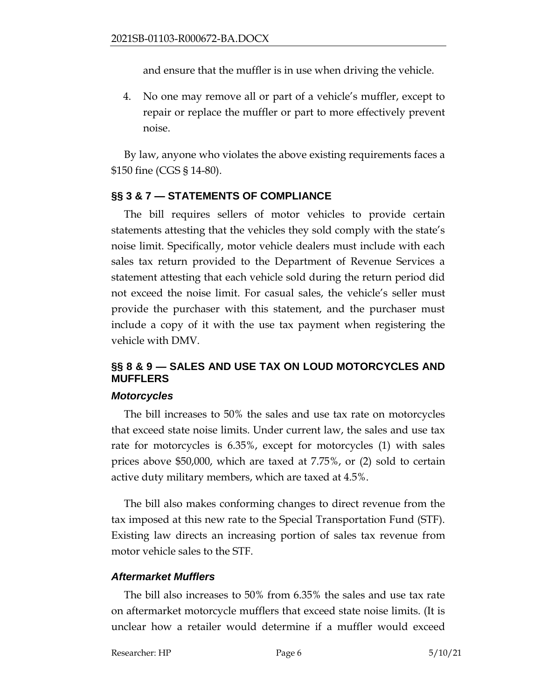and ensure that the muffler is in use when driving the vehicle.

4. No one may remove all or part of a vehicle's muffler, except to repair or replace the muffler or part to more effectively prevent noise.

By law, anyone who violates the above existing requirements faces a \$150 fine (CGS § 14-80).

### **§§ 3 & 7 — STATEMENTS OF COMPLIANCE**

The bill requires sellers of motor vehicles to provide certain statements attesting that the vehicles they sold comply with the state's noise limit. Specifically, motor vehicle dealers must include with each sales tax return provided to the Department of Revenue Services a statement attesting that each vehicle sold during the return period did not exceed the noise limit. For casual sales, the vehicle's seller must provide the purchaser with this statement, and the purchaser must include a copy of it with the use tax payment when registering the vehicle with DMV.

# **§§ 8 & 9 — SALES AND USE TAX ON LOUD MOTORCYCLES AND MUFFLERS**

### *Motorcycles*

The bill increases to 50% the sales and use tax rate on motorcycles that exceed state noise limits. Under current law, the sales and use tax rate for motorcycles is 6.35%, except for motorcycles (1) with sales prices above \$50,000, which are taxed at 7.75%, or (2) sold to certain active duty military members, which are taxed at 4.5%.

The bill also makes conforming changes to direct revenue from the tax imposed at this new rate to the Special Transportation Fund (STF). Existing law directs an increasing portion of sales tax revenue from motor vehicle sales to the STF.

### *Aftermarket Mufflers*

The bill also increases to 50% from 6.35% the sales and use tax rate on aftermarket motorcycle mufflers that exceed state noise limits. (It is unclear how a retailer would determine if a muffler would exceed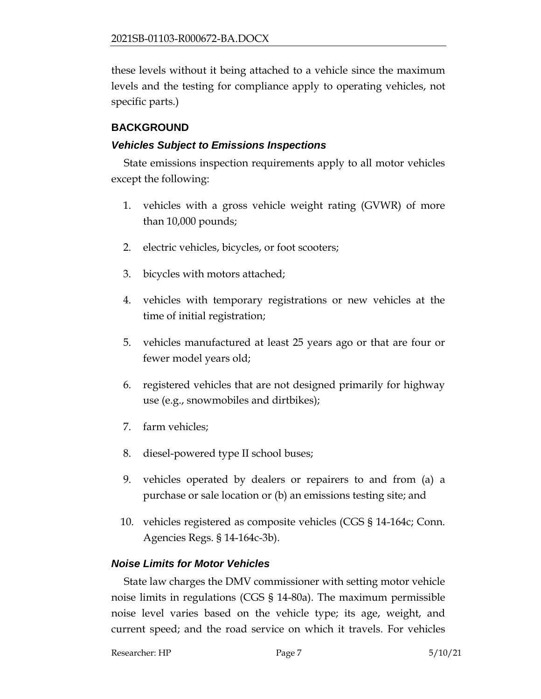these levels without it being attached to a vehicle since the maximum levels and the testing for compliance apply to operating vehicles, not specific parts.)

## **BACKGROUND**

## *Vehicles Subject to Emissions Inspections*

State emissions inspection requirements apply to all motor vehicles except the following:

- 1. vehicles with a gross vehicle weight rating (GVWR) of more than 10,000 pounds;
- 2. electric vehicles, bicycles, or foot scooters;
- 3. bicycles with motors attached;
- 4. vehicles with temporary registrations or new vehicles at the time of initial registration;
- 5. vehicles manufactured at least 25 years ago or that are four or fewer model years old;
- 6. registered vehicles that are not designed primarily for highway use (e.g., snowmobiles and dirtbikes);
- 7. farm vehicles;
- 8. diesel-powered type II school buses;
- 9. vehicles operated by dealers or repairers to and from (a) a purchase or sale location or (b) an emissions testing site; and
- 10. vehicles registered as composite vehicles (CGS § 14-164c; Conn. Agencies Regs. § 14-164c-3b).

### *Noise Limits for Motor Vehicles*

State law charges the DMV commissioner with setting motor vehicle noise limits in regulations (CGS § 14-80a). The maximum permissible noise level varies based on the vehicle type; its age, weight, and current speed; and the road service on which it travels. For vehicles